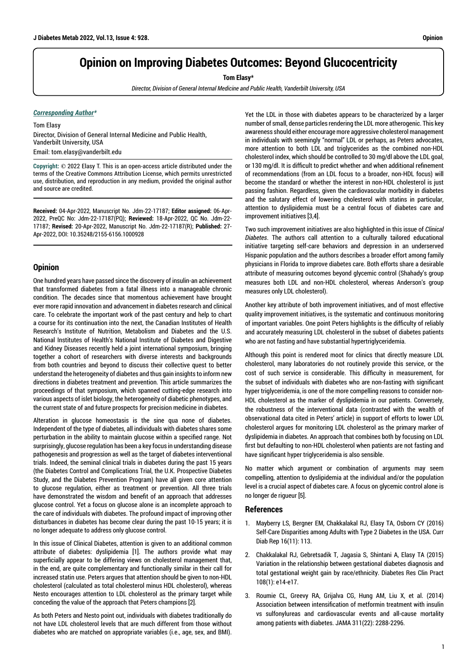# **Opinion on Improving Diabetes Outcomes: Beyond Glucocentricity**

**Tom Elasy\***

*Director, Division of General Internal Medicine and Public Health, Vanderbilt University, USA* 

#### *Corresponding Author\**

Tom Elasy Director, Division of General Internal Medicine and Public Health, Vanderbilt University, USA Email: tom.elasy@vanderbilt.edu

**Copyright: ©** 2022 Elasy T. This is an open-access article distributed under the terms of the Creative Commons Attribution License, which permits unrestricted use, distribution, and reproduction in any medium, provided the original author and source are credited.

**Received:** 04-Apr-2022, Manuscript No. Jdm-22-17187; **Editor assigned:** 06-Apr-2022, PreQC No: Jdm-22-17187(PQ); **Reviewed:** 18-Apr-2022, QC No. Jdm-22- 17187; **Revised:** 20-Apr-2022, Manuscript No. Jdm-22-17187(R); **Published:** 27- Apr-2022, DOI: 10.35248/2155-6156.1000928

## **Opinion**

One hundred years have passed since the discovery of insulin-an achievement that transformed diabetes from a fatal illness into a manageable chronic condition. The decades since that momentous achievement have brought ever more rapid innovation and advancement in diabetes research and clinical care. To celebrate the important work of the past century and help to chart a course for its continuation into the next, the Canadian Institutes of Health Research's Institute of Nutrition, Metabolism and Diabetes and the U.S. National Institutes of Health's National Institute of Diabetes and Digestive and Kidney Diseases recently held a joint international symposium, bringing together a cohort of researchers with diverse interests and backgrounds from both countries and beyond to discuss their collective quest to better understand the heterogeneity of diabetes and thus gain insights to inform new directions in diabetes treatment and prevention. This article summarizes the proceedings of that symposium, which spanned cutting-edge research into various aspects of islet biology, the heterogeneity of diabetic phenotypes, and the current state of and future prospects for precision medicine in diabetes.

Alteration in glucose homeostasis is the sine qua none of diabetes. Independent of the type of diabetes, all individuals with diabetes shares some perturbation in the ability to maintain glucose within a specified range. Not surprisingly, glucose regulation has been a key focus in understanding disease pathogenesis and progression as well as the target of diabetes interventional trials. Indeed, the seminal clinical trials in diabetes during the past 15 years (the Diabetes Control and Complications Trial, the U.K. Prospective Diabetes Study, and the Diabetes Prevention Program) have all given core attention to glucose regulation, either as treatment or prevention. All three trials have demonstrated the wisdom and benefit of an approach that addresses glucose control. Yet a focus on glucose alone is an incomplete approach to the care of individuals with diabetes. The profound impact of improving other disturbances in diabetes has become clear during the past 10-15 years; it is no longer adequate to address only glucose control.

In this issue of Clinical Diabetes, attention is given to an additional common attribute of diabetes: dyslipidemia [1]. The authors provide what may superficially appear to be differing views on cholesterol management that, in the end, are quite complementary and functionally similar in their call for increased statin use. Peters argues that attention should be given to non-HDL cholesterol (calculated as total cholesterol minus HDL cholesterol), whereas Nesto encourages attention to LDL cholesterol as the primary target while conceding the value of the approach that Peters champions [2].

As both Peters and Nesto point out, individuals with diabetes traditionally do not have LDL cholesterol levels that are much different from those without diabetes who are matched on appropriate variables (i.e., age, sex, and BMI).

Yet the LDL in those with diabetes appears to be characterized by a larger number of small, dense particles rendering the LDL more atherogenic. This key awareness should either encourage more aggressive cholesterol management in individuals with seemingly "normal" LDL or perhaps, as Peters advocates, more attention to both LDL and triglycerides as the combined non-HDL cholesterol index, which should be controlled to 30 mg/dl above the LDL goal, or 130 mg/dl. It is difficult to predict whether and when additional refinement of recommendations (from an LDL focus to a broader, non-HDL focus) will become the standard or whether the interest in non-HDL cholesterol is just passing fashion. Regardless, given the cardiovascular morbidity in diabetes and the salutary effect of lowering cholesterol with statins in particular, attention to dyslipidemia must be a central focus of diabetes care and improvement initiatives [3,4].

Two such improvement initiatives are also highlighted in this issue of *Clinical Diabetes*. The authors call attention to a culturally tailored educational initiative targeting self-care behaviors and depression in an underserved Hispanic population and the authors describes a broader effort among family physicians in Florida to improve diabetes care. Both efforts share a desirable attribute of measuring outcomes beyond glycemic control (Shahady's group measures both LDL and non-HDL cholesterol, whereas Anderson's group measures only LDL cholesterol).

Another key attribute of both improvement initiatives, and of most effective quality improvement initiatives, is the systematic and continuous monitoring of important variables. One point Peters highlights is the difficulty of reliably and accurately measuring LDL cholesterol in the subset of diabetes patients who are not fasting and have substantial hypertriglyceridemia.

Although this point is rendered moot for clinics that directly measure LDL cholesterol, many laboratories do not routinely provide this service, or the cost of such service is considerable. This difficulty in measurement, for the subset of individuals with diabetes who are non-fasting with significant hyper triglyceridemia, is one of the more compelling reasons to consider non-HDL cholesterol as the marker of dyslipidemia in our patients. Conversely, the robustness of the interventional data (contrasted with the wealth of observational data cited in Peters' article) in support of efforts to lower LDL cholesterol argues for monitoring LDL cholesterol as the primary marker of dyslipidemia in diabetes. An approach that combines both by focusing on LDL first but defaulting to non-HDL cholesterol when patients are not fasting and have significant hyper triglyceridemia is also sensible.

No matter which argument or combination of arguments may seem compelling, attention to dyslipidemia at the individual and/or the population level is a crucial aspect of diabetes care. A focus on glycemic control alone is no longer de rigueur [5].

### **References**

- 1. Mayberry LS, Bergner EM, Chakkalakal RJ, Elasy TA, Osborn CY (2016) [Self-Care Disparities among Adults with Type 2 Diabetes in the USA](http://www.ncbi.nlm.nih.gov/pubmed/27671320). Curr Diab Rep 16(11): 113.
- 2. Chakkalakal RJ, Gebretsadik T, Jagasia S, Shintani A, Elasy TA (2015) [Variation in the relationship between gestational diabetes diagnosis and](https://www.diabetesresearchclinicalpractice.com/article/S0168-8227(15)00028-5/fulltext)  [total gestational weight gain by race/ethnicity.](https://www.diabetesresearchclinicalpractice.com/article/S0168-8227(15)00028-5/fulltext) Diabetes Res Clin Pract 108(1): e14-e17.
- 3. Roumie CL, Greevy RA, Grijalva CG, Hung AM, Liu X, et al. (2014) [Association between intensification of metformin treatment with insulin](https://jamanetwork.com/journals/jama/fullarticle/10.1001/jama.2014.4312)  [vs sulfonylureas and cardiovascular events and all-cause mortality](https://jamanetwork.com/journals/jama/fullarticle/10.1001/jama.2014.4312)  [among patients with diabetes.](https://jamanetwork.com/journals/jama/fullarticle/10.1001/jama.2014.4312) JAMA 311(22): 2288-2296.